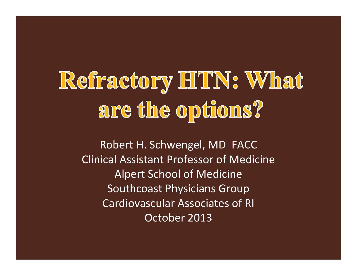# Refiractory HTN: What are the options?

Robert H. Schwengel, MD FACC Clinical Assistant Professor of Medicine Alpert School of Medicine Southcoast Physicians Group Cardiovascular Associates of RI October 2013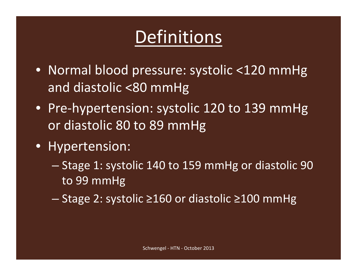### Definitions

- Normal blood pressure: systolic <120 mmHg and diastolic <80 mmHg
- Pre‐hypertension: systolic 120 to 139 mmHg or diastolic 80 to 89 mmHg
- Hypertension:
	- Stage 1: systolic 140 to 159 mmHg or diastolic 90 to 99 mmHg
	- Stage 2: systolic ≥160 or diastolic ≥100 mmHg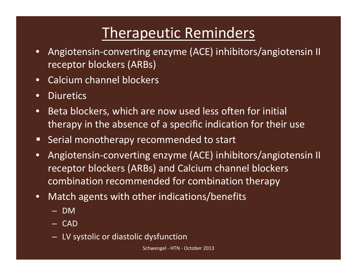### Therapeutic Reminders

- $\bullet$  Angiotensin‐converting enzyme (ACE) inhibitors/angiotensin II receptor blockers (ARBs)
- $\bullet$ Calcium channel blockers
- $\bullet$ **•** Diuretics
- •• Beta blockers, which are now used less often for initial therapy in the absence of <sup>a</sup> specific indication for their use
- $\blacksquare$ Serial monotherapy recommended to start
- $\bullet$  Angiotensin‐converting enzyme (ACE) inhibitors/angiotensin II receptor blockers (ARBs) and Calcium channel blockers combination recommended for combination therapy
- • Match agents with other indications/benefits
	- DM
	- CAD
	- LV systolic or diastolic dysfunction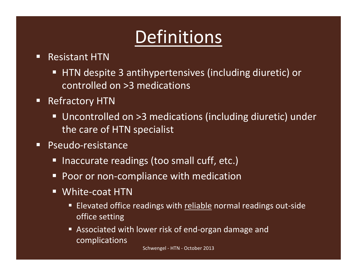### Definitions

- $\Box$ **Resistant HTN** 
	- HTN despite 3 antihypertensives (including diuretic) or controlled on >3 medications
- $\Box$  Refractory HTN
	- Uncontrolled on >3 medications (including diuretic) under the care of HTN specialist
- $\Box$ ■ Pseudo-resistance
	- Inaccurate readings (too small cuff, etc.)
	- Poor or non‐compliance with medication
	- $\Box$  White‐coat HTN
		- Ξ ■ Elevated office readings with reliable normal readings out-side office setting
		- $\blacksquare$ ■ Associated with lower risk of end-organ damage and complications

Schwengel ‐ HTN ‐ October 2013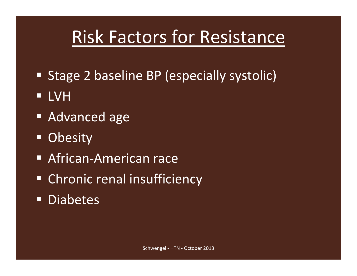### Risk Factors for Resistance

- **Stage 2 baseline BP (especially systolic)**
- $\Box$ LVH
- **Advanced age**
- $\Box$ **Obesity**
- African-American race
- **Example 21 Chronic renal insufficiency**
- $\Box$ Diabetes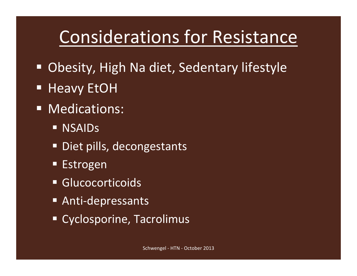### Considerations for Resistance

- $\Box$ Obesity, High Na diet, Sedentary lifestyle
- $\blacksquare$ Heavy EtOH
- **Nedications:** 
	- **NSAIDs**
	- **Diet pills, decongestants**
	- **Estrogen**
	- **Glucocorticoids**
	- Anti-depressants
	- Cyclosporine, Tacrolimus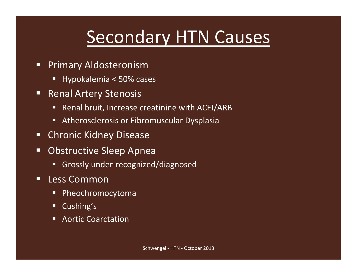### Secondary HTN Causes

- $\Box$  Primary Aldosteronism
	- Г Hypokalemia <sup>&</sup>lt; 50% cases
- $\Box$  Renal Artery Stenosis
	- $\Box$ Renal bruit, Increase creatinine with ACEI/ARB
	- Atherosclerosis or Fibromuscular Dysplasia
- $\Box$ Chronic Kidney Disease
- $\Box$ **DARA** Obstructive Sleep Apnea
	- Grossly under-recognized/diagnosed
- $\blacksquare$ ■ Less Common
	- $\blacksquare$ Pheochromocytoma
	- $\blacksquare$ Cushing's
	- Г Aortic Coarctation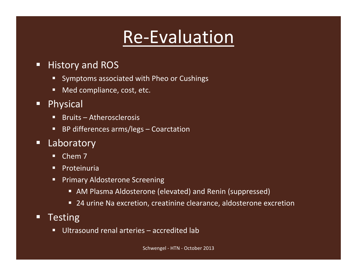### Re‐Evaluation

#### $\Box$ History and ROS

- **Symptoms associated with Pheo or Cushings**
- п, **Ned compliance, cost, etc.**
- $\blacksquare$  Physical
	- Bruits Atherosclerosis
	- BP differences arms/legs Coarctation
- $\blacksquare$  Laboratory
	- π, ■ Chem 7
	- п. Proteinuria
	- п, Primary Aldosterone Screening
		- AM Plasma Aldosterone (elevated) and Renin (suppressed)
		- 24 urine Na excretion, creatinine clearance, aldosterone excretion

#### $\Box$ **Testing**

π, Ultrasound renal arteries – accredited lab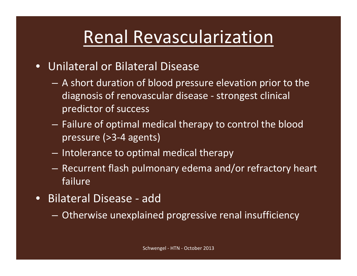### Renal Revascularization

### • Unilateral or Bilateral Disease

- A short duration of blood pressure elevation prior to the diagnosis of renovascular disease ‐ strongest clinical predictor of success
- $-$  Failure of optimal medical therapy to control the blood pressure (>3‐4 agents)
- $-$  Intolerance to optimal medical therapy
- $-$  Recurrent flash pulmonary edema and/or refractory heart failure
- Bilateral Disease ‐ add
	- $\mathcal{L}_{\mathcal{A}}$ Otherwise unexplained progressive renal insufficiency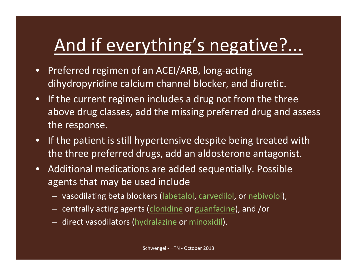### And if everything's negative?...

- $\bullet$ ● Preferred regimen of an ACEI/ARB, long-acting dihydropyridine calcium channel blocker, and diuretic.
- $\bullet$ • If the current regimen includes a drug <u>not</u> from the three above drug classes, add the missing preferred drug and assess the response.
- $\bullet$  $\bullet$  If the patient is still hypertensive despite being treated with the three preferred drugs, add an aldosterone antagonist.
- Additional medications are added sequentially. Possible agents that may be used include
	- vasodilating beta blockers (labetalol, carvedilol, or nebivolol),
	- $-$  centrally acting agents (clonidine or guanfacine), and /or
	- direct vasodilators (hydralazine or minoxidil).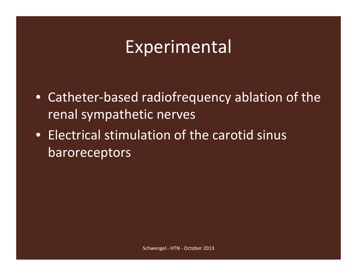### **Experimental**

- Catheter‐based radiofrequency ablation of the renal sympathetic nerves
- Electrical stimulation of the carotid sinus baroreceptors